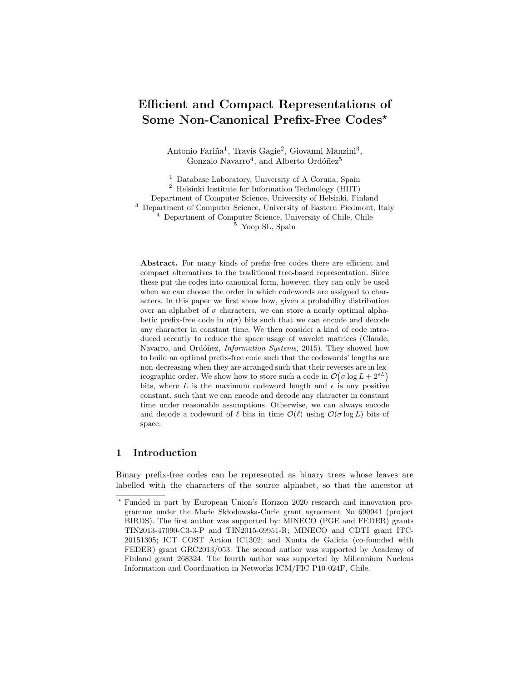# Efficient and Compact Representations of Some Non-Canonical Prefix-Free Codes\*

Antonio Fariña<sup>1</sup>, Travis Gagie<sup>2</sup>, Giovanni Manzini<sup>3</sup>, Gonzalo Navarro<sup>4</sup>, and Alberto Ordóñez<sup>5</sup>

<sup>1</sup> Database Laboratory, University of A Coruña, Spain<br><sup>2</sup> Helsinki Institute for Information Technology (HIIT) <sup>2</sup> Helsinki Institute for Information Technology (HIIT) Department of Computer Science, University of Helsinki, Finland <sup>3</sup> Department of Computer Science, University of Eastern Piedmont, Italy <sup>4</sup> Department of Computer Science, University of Chile, Chile <sup>5</sup> Yoop SL, Spain

Abstract. For many kinds of prefix-free codes there are efficient and compact alternatives to the traditional tree-based representation. Since these put the codes into canonical form, however, they can only be used when we can choose the order in which codewords are assigned to characters. In this paper we first show how, given a probability distribution over an alphabet of  $\sigma$  characters, we can store a nearly optimal alphabetic prefix-free code in  $o(\sigma)$  bits such that we can encode and decode any character in constant time. We then consider a kind of code introduced recently to reduce the space usage of wavelet matrices (Claude, Navarro, and Ordóñez, *Information Systems*, 2015). They showed how to build an optimal prefix-free code such that the codewords' lengths are non-decreasing when they are arranged such that their reverses are in lexicographic order. We show how to store such a code in  $\mathcal{O}(\sigma \log L + 2^{\epsilon L})$ bits, where L is the maximum codeword length and  $\epsilon$  is any positive constant, such that we can encode and decode any character in constant time under reasonable assumptions. Otherwise, we can always encode and decode a codeword of  $\ell$  bits in time  $\mathcal{O}(\ell)$  using  $\mathcal{O}(\sigma \log L)$  bits of space.

## 1 Introduction

Binary prefix-free codes can be represented as binary trees whose leaves are labelled with the characters of the source alphabet, so that the ancestor at

<sup>?</sup> Funded in part by European Union's Horizon 2020 research and innovation programme under the Marie Skłodowska-Curie grant agreement No 690941 (project BIRDS). The first author was supported by: MINECO (PGE and FEDER) grants TIN2013-47090-C3-3-P and TIN2015-69951-R; MINECO and CDTI grant ITC-20151305; ICT COST Action IC1302; and Xunta de Galicia (co-founded with FEDER) grant GRC2013/053. The second author was supported by Academy of Finland grant 268324. The fourth author was supported by Millennium Nucleus Information and Coordination in Networks ICM/FIC P10-024F, Chile.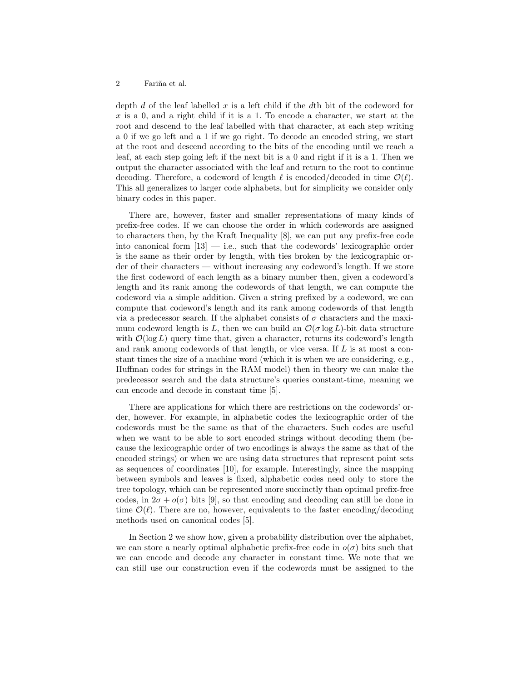depth d of the leaf labelled x is a left child if the dth bit of the codeword for  $x$  is a 0, and a right child if it is a 1. To encode a character, we start at the root and descend to the leaf labelled with that character, at each step writing a 0 if we go left and a 1 if we go right. To decode an encoded string, we start at the root and descend according to the bits of the encoding until we reach a leaf, at each step going left if the next bit is a 0 and right if it is a 1. Then we output the character associated with the leaf and return to the root to continue decoding. Therefore, a codeword of length  $\ell$  is encoded/decoded in time  $\mathcal{O}(\ell)$ . This all generalizes to larger code alphabets, but for simplicity we consider only binary codes in this paper.

There are, however, faster and smaller representations of many kinds of prefix-free codes. If we can choose the order in which codewords are assigned to characters then, by the Kraft Inequality [8], we can put any prefix-free code into canonical form  $[13]$  — i.e., such that the codewords' lexicographic order is the same as their order by length, with ties broken by the lexicographic order of their characters — without increasing any codeword's length. If we store the first codeword of each length as a binary number then, given a codeword's length and its rank among the codewords of that length, we can compute the codeword via a simple addition. Given a string prefixed by a codeword, we can compute that codeword's length and its rank among codewords of that length via a predecessor search. If the alphabet consists of  $\sigma$  characters and the maximum codeword length is L, then we can build an  $\mathcal{O}(\sigma \log L)$ -bit data structure with  $\mathcal{O}(\log L)$  query time that, given a character, returns its codeword's length and rank among codewords of that length, or vice versa. If L is at most a constant times the size of a machine word (which it is when we are considering, e.g., Huffman codes for strings in the RAM model) then in theory we can make the predecessor search and the data structure's queries constant-time, meaning we can encode and decode in constant time [5].

There are applications for which there are restrictions on the codewords' order, however. For example, in alphabetic codes the lexicographic order of the codewords must be the same as that of the characters. Such codes are useful when we want to be able to sort encoded strings without decoding them (because the lexicographic order of two encodings is always the same as that of the encoded strings) or when we are using data structures that represent point sets as sequences of coordinates [10], for example. Interestingly, since the mapping between symbols and leaves is fixed, alphabetic codes need only to store the tree topology, which can be represented more succinctly than optimal prefix-free codes, in  $2\sigma + o(\sigma)$  bits [9], so that encoding and decoding can still be done in time  $\mathcal{O}(\ell)$ . There are no, however, equivalents to the faster encoding/decoding methods used on canonical codes [5].

In Section 2 we show how, given a probability distribution over the alphabet, we can store a nearly optimal alphabetic prefix-free code in  $o(\sigma)$  bits such that we can encode and decode any character in constant time. We note that we can still use our construction even if the codewords must be assigned to the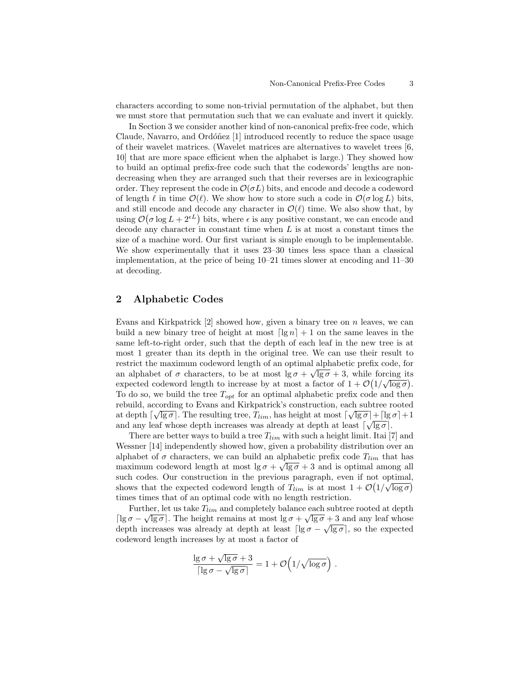characters according to some non-trivial permutation of the alphabet, but then we must store that permutation such that we can evaluate and invert it quickly.

In Section 3 we consider another kind of non-canonical prefix-free code, which Claude, Navarro, and Ordóñez [1] introduced recently to reduce the space usage of their wavelet matrices. (Wavelet matrices are alternatives to wavelet trees [6, 10] that are more space efficient when the alphabet is large.) They showed how to build an optimal prefix-free code such that the codewords' lengths are nondecreasing when they are arranged such that their reverses are in lexicographic order. They represent the code in  $\mathcal{O}(\sigma L)$  bits, and encode and decode a codeword of length  $\ell$  in time  $\mathcal{O}(\ell)$ . We show how to store such a code in  $\mathcal{O}(\sigma \log L)$  bits, and still encode and decode any character in  $\mathcal{O}(\ell)$  time. We also show that, by using  $\mathcal{O}(\sigma \log L + 2^{\epsilon L})$  bits, where  $\epsilon$  is any positive constant, we can encode and decode any character in constant time when  $L$  is at most a constant times the size of a machine word. Our first variant is simple enough to be implementable. We show experimentally that it uses 23–30 times less space than a classical implementation, at the price of being 10–21 times slower at encoding and 11–30 at decoding.

### 2 Alphabetic Codes

Evans and Kirkpatrick  $[2]$  showed how, given a binary tree on n leaves, we can build a new binary tree of height at most  $\lceil \lg n \rceil + 1$  on the same leaves in the same left-to-right order, such that the depth of each leaf in the new tree is at most 1 greater than its depth in the original tree. We can use their result to restrict the maximum codeword length of an optimal alphabetic prefix code, for √ an alphabet of  $\sigma$  characters, to be at most  $\lg \sigma + \sqrt{\lg \sigma} + 3$ , while forcing its expected codeword length to increase by at most a factor of  $1 + \mathcal{O}(1/\sqrt{\log \sigma})$ . To do so, we build the tree  $T_{opt}$  for an optimal alphabetic prefix code and then rebuild, according to Evans and Kirkpatrick's construction, each subtree rooted at depth  $\lceil \sqrt{\lg \sigma} \rceil$ . The resulting tree,  $T_{lim}$ , has height at most  $\lceil \sqrt{\lg \sigma} \rceil + \lceil \lg \sigma \rceil + 1$ and any leaf whose depth increases was already at depth at least  $\lceil \sqrt{\lg \sigma} \rceil$ .

There are better ways to build a tree  $T_{lim}$  with such a height limit. Itai [7] and Wessner [14] independently showed how, given a probability distribution over an alphabet of  $\sigma$  characters, we can build an alphabetic prefix code  $T_{lim}$  that has maximum codeword length at most  $\lg \sigma + \sqrt{\lg \sigma} + 3$  and is optimal among all such codes. Our construction in the previous paragraph, even if not optimal, shows that the expected codeword length of  $T_{lim}$  is at most  $1 + \mathcal{O}(1/\sqrt{\log \sigma})$ times times that of an optimal code with no length restriction.

Further, let us take  $T_{lim}$  and completely balance each subtree rooted at depth [lg  $\sigma - \sqrt{\lg \sigma}$ ]. The height remains at most lg  $\sigma + \sqrt{\lg \sigma} + 3$  and any leaf whose depth increases was already at depth at least  $\lceil \lg \sigma - \sqrt{\lg \sigma} \rceil$ , so the expected codeword length increases by at most a factor of

$$
\frac{\lg \sigma + \sqrt{\lg \sigma} + 3}{\lceil \lg \sigma - \sqrt{\lg \sigma} \rceil} = 1 + \mathcal{O}\Big(1/\sqrt{\log \sigma}\Big) .
$$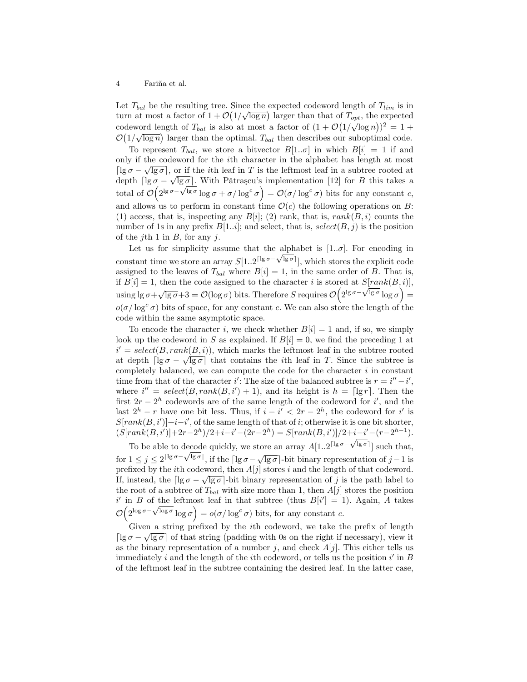Let  $T_{bal}$  be the resulting tree. Since the expected codeword length of  $T_{lim}$  is in turn at most a factor of  $1 + \mathcal{O}(1/\sqrt{\log n})$  larger than that of  $T_{opt}$ , the expected codeword length of  $T_{bal}$  is also at most a factor of  $(1 + \mathcal{O}(1/\sqrt{\log n}))^2 = 1 +$  $\mathcal{O}(1/\sqrt{\log n})$  larger than the optimal.  $T_{bal}$  then describes our suboptimal code.

To represent  $T_{bal}$ , we store a bitvector  $B[1..\sigma]$  in which  $B[i] = 1$  if and only if the codeword for the *i*th character in the alphabet has length at most [lg  $\sigma - \sqrt{lg \sigma}$ ], or if the *i*th leaf in T is the leftmost leaf in a subtree rooted at depth  $\lceil \lg \sigma - \sqrt{\lg \sigma} \rceil$ . With Pǎtraşcu's implementation [12] for B this takes a total of  $\mathcal{O}\left(2^{\lg \sigma - \sqrt{\lg \sigma}} \log \sigma + \sigma/\log^c \sigma\right) = \mathcal{O}\left(\sigma/\log^c \sigma\right)$  bits for any constant c, and allows us to perform in constant time  $\mathcal{O}(c)$  the following operations on B: (1) access, that is, inspecting any  $B[i]$ ; (2) rank, that is,  $rank(B, i)$  counts the number of 1s in any prefix  $B[1..i]$ ; and select, that is, select $(B, j)$  is the position of the j<sup>th</sup> 1 in  $B$ , for any j.

Let us for simplicity assume that the alphabet is  $[1..\sigma]$ . For encoding in constant time we store an array  $S[1..2^{\lceil \lg \sigma - \sqrt{\lg \sigma} \rceil}]$ , which stores the explicit code assigned to the leaves of  $T_{bal}$  where  $B[i] = 1$ , in the same order of B. That is, if  $B[i] = 1$ , then the code assigned to the character i is stored at  $S[rank(B, i)],$  $\lim_{\epsilon \to 0}$  lg σ +  $\sqrt{\lg \sigma} + 3 = \mathcal{O}(\log \sigma)$  bits. Therefore S requires  $\mathcal{O}\left(2^{\lg \sigma - \sqrt{\lg \sigma}} \log \sigma\right) =$  $o(\sigma/\log^c \sigma)$  bits of space, for any constant c. We can also store the length of the code within the same asymptotic space.

To encode the character i, we check whether  $B[i] = 1$  and, if so, we simply look up the codeword in S as explained. If  $B[i] = 0$ , we find the preceding 1 at  $i' = select(B, rank(B, i)),$  which marks the leftmost leaf in the subtree rooted at depth  $\lceil \lg \sigma - \sqrt{\lg \sigma} \rceil$  that contains the *i*th leaf in T. Since the subtree is completely balanced, we can compute the code for the character  $i$  in constant time from that of the character i': The size of the balanced subtree is  $r = i'' - i'$ , where  $i'' = select(B, rank(B, i') + 1)$ , and its height is  $h = \lceil \lg r \rceil$ . Then the first  $2r - 2<sup>h</sup>$  codewords are of the same length of the codeword for i', and the last  $2^h - r$  have one bit less. Thus, if  $i - i' < 2r - 2^h$ , the codeword for i' is  $S[rank(B, i')] + i-i'$ , of the same length of that of i; otherwise it is one bit shorter,  $(S[rank(B, i')] + 2r - 2<sup>h</sup>)/2 + i - i' - (2r - 2<sup>h</sup>) = S[rank(B, i')] / 2 + i - i' - (r - 2<sup>h-1</sup>).$ 

To be able to decode quickly, we store an array  $A[1..2^{\lceil \lg \sigma - \sqrt{\lg \sigma} \rceil}]$  such that, for  $1 \leq j \leq 2^{\lceil \lg \sigma - \sqrt{\lg \sigma} \rceil}$ , if the  $\lceil \lg \sigma - \sqrt{\lg \sigma} \rceil$ -bit binary representation of  $j-1$  is prefixed by the *i*th codeword, then  $A[j]$  stores *i* and the length of that codeword. If, instead, the  $\lceil \lg \sigma - \sqrt{\lg \sigma} \rceil$ -bit binary representation of j is the path label to the root of a subtree of  $T_{bal}$  with size more than 1, then  $A[j]$  stores the position i' in B of the leftmost leaf in that subtree (thus  $B[i'] = 1$ ). Again, A takes  $\mathcal{O}\left(2^{\log \sigma - \sqrt{\log \sigma}} \log \sigma\right) = o(\sigma/\log^c \sigma)$  bits, for any constant c.

Given a string prefixed by the *i*th codeword, we take the prefix of length  $\lceil \lg \sigma - \sqrt{\lg \sigma} \rceil$  of that string (padding with 0s on the right if necessary), view it as the binary representation of a number j, and check  $A[j]$ . This either tells us immediately  $i$  and the length of the *i*th codeword, or tells us the position  $i'$  in  $B$ of the leftmost leaf in the subtree containing the desired leaf. In the latter case,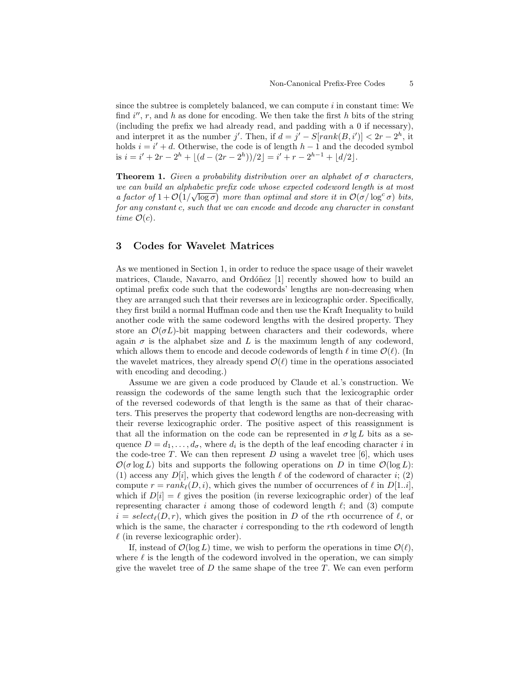since the subtree is completely balanced, we can compute  $i$  in constant time: We find  $i'', r$ , and h as done for encoding. We then take the first h bits of the string (including the prefix we had already read, and padding with a 0 if necessary), and interpret it as the number j'. Then, if  $d = j' - S[rank(B, i')] < 2r - 2<sup>h</sup>$ , it holds  $i = i' + d$ . Otherwise, the code is of length  $h - 1$  and the decoded symbol is  $i = i' + 2r - 2<sup>h</sup> + |(d - (2r - 2<sup>h</sup>))/2| = i' + r - 2<sup>h-1</sup> + |d/2|$ .

**Theorem 1.** Given a probability distribution over an alphabet of  $\sigma$  characters, we can build an alphabetic prefix code whose expected codeword length is at most a factor of  $1 + \mathcal{O}(1/\sqrt{\log \sigma})$  more than optimal and store it in  $\mathcal{O}(\sigma/\log^c \sigma)$  bits, for any constant c, such that we can encode and decode any character in constant time  $\mathcal{O}(c)$ .

#### 3 Codes for Wavelet Matrices

As we mentioned in Section 1, in order to reduce the space usage of their wavelet matrices, Claude, Navarro, and Ordóñez  $[1]$  recently showed how to build an optimal prefix code such that the codewords' lengths are non-decreasing when they are arranged such that their reverses are in lexicographic order. Specifically, they first build a normal Huffman code and then use the Kraft Inequality to build another code with the same codeword lengths with the desired property. They store an  $\mathcal{O}(\sigma L)$ -bit mapping between characters and their codewords, where again  $\sigma$  is the alphabet size and L is the maximum length of any codeword, which allows them to encode and decode codewords of length  $\ell$  in time  $\mathcal{O}(\ell)$ . (In the wavelet matrices, they already spend  $\mathcal{O}(\ell)$  time in the operations associated with encoding and decoding.)

Assume we are given a code produced by Claude et al.'s construction. We reassign the codewords of the same length such that the lexicographic order of the reversed codewords of that length is the same as that of their characters. This preserves the property that codeword lengths are non-decreasing with their reverse lexicographic order. The positive aspect of this reassignment is that all the information on the code can be represented in  $\sigma \lg L$  bits as a sequence  $D = d_1, \ldots, d_{\sigma}$ , where  $d_i$  is the depth of the leaf encoding character i in the code-tree T. We can then represent  $D$  using a wavelet tree [6], which uses  $\mathcal{O}(\sigma \log L)$  bits and supports the following operations on D in time  $\mathcal{O}(\log L)$ : (1) access any  $D[i]$ , which gives the length  $\ell$  of the codeword of character i; (2) compute  $r = rank_{\ell}(D, i)$ , which gives the number of occurrences of  $\ell$  in  $D[1..i]$ , which if  $D[i] = \ell$  gives the position (in reverse lexicographic order) of the leaf representing character i among those of codeword length  $\ell$ ; and (3) compute  $i = select_{\ell}(D, r)$ , which gives the position in D of the rth occurrence of  $\ell$ , or which is the same, the character  $i$  corresponding to the rth codeword of length  $\ell$  (in reverse lexicographic order).

If, instead of  $\mathcal{O}(\log L)$  time, we wish to perform the operations in time  $\mathcal{O}(\ell)$ , where  $\ell$  is the length of the codeword involved in the operation, we can simply give the wavelet tree of  $D$  the same shape of the tree  $T$ . We can even perform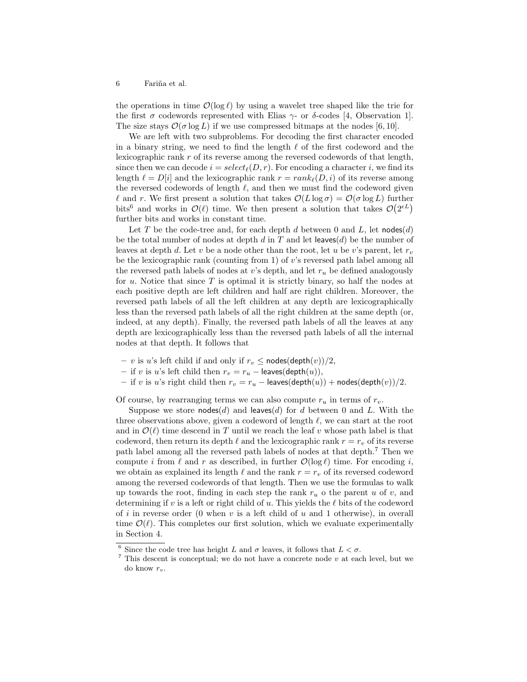6 Fari˜na et al.

the operations in time  $\mathcal{O}(\log \ell)$  by using a wavelet tree shaped like the trie for the first  $\sigma$  codewords represented with Elias  $\gamma$ - or  $\delta$ -codes [4, Observation 1]. The size stays  $\mathcal{O}(\sigma \log L)$  if we use compressed bitmaps at the nodes [6, 10].

We are left with two subproblems. For decoding the first character encoded in a binary string, we need to find the length  $\ell$  of the first codeword and the lexicographic rank r of its reverse among the reversed codewords of that length, since then we can decode  $i = select_{\ell}(D, r)$ . For encoding a character i, we find its length  $\ell = D[i]$  and the lexicographic rank  $r = rank_{\ell}(D, i)$  of its reverse among the reversed codewords of length  $\ell$ , and then we must find the codeword given  $\ell$  and r. We first present a solution that takes  $\mathcal{O}(L \log \sigma) = \mathcal{O}(\sigma \log L)$  further bits<sup>6</sup> and works in  $\mathcal{O}(\ell)$  time. We then present a solution that takes  $\mathcal{O}(2^{\epsilon L})$ further bits and works in constant time.

Let T be the code-tree and, for each depth d between 0 and L, let nodes  $(d)$ be the total number of nodes at depth d in T and let leaves (d) be the number of leaves at depth d. Let v be a node other than the root, let u be v's parent, let  $r_v$ be the lexicographic rank (counting from 1) of  $v$ 's reversed path label among all the reversed path labels of nodes at v's depth, and let  $r_u$  be defined analogously for  $u$ . Notice that since  $T$  is optimal it is strictly binary, so half the nodes at each positive depth are left children and half are right children. Moreover, the reversed path labels of all the left children at any depth are lexicographically less than the reversed path labels of all the right children at the same depth (or, indeed, at any depth). Finally, the reversed path labels of all the leaves at any depth are lexicographically less than the reversed path labels of all the internal nodes at that depth. It follows that

- v is u's left child if and only if  $r_v \leq \text{nodes}(\text{depth}(v))/2$ ,
- if v is u's left child then  $r_v = r_u$  leaves(depth $(u)$ ),
- if v is u's right child then  $r_v = r_u$  leaves(depth(u)) + nodes(depth(v))/2.

Of course, by rearranging terms we can also compute  $r_u$  in terms of  $r_v$ .

Suppose we store nodes(d) and leaves(d) for d between 0 and L. With the three observations above, given a codeword of length  $\ell$ , we can start at the root and in  $\mathcal{O}(\ell)$  time descend in T until we reach the leaf v whose path label is that codeword, then return its depth  $\ell$  and the lexicographic rank  $r = r_v$  of its reverse path label among all the reversed path labels of nodes at that depth.<sup>7</sup> Then we compute i from  $\ell$  and r as described, in further  $\mathcal{O}(\log \ell)$  time. For encoding i, we obtain as explained its length  $\ell$  and the rank  $r = r_v$  of its reversed codeword among the reversed codewords of that length. Then we use the formulas to walk up towards the root, finding in each step the rank  $r_u$  o the parent u of v, and determining if v is a left or right child of u. This yields the  $\ell$  bits of the codeword of i in reverse order (0 when v is a left child of u and 1 otherwise), in overall time  $\mathcal{O}(\ell)$ . This completes our first solution, which we evaluate experimentally in Section 4.

<sup>&</sup>lt;sup>6</sup> Since the code tree has height L and  $\sigma$  leaves, it follows that  $L < \sigma$ .

 $^7$  This descent is conceptual; we do not have a concrete node  $v$  at each level, but we do know  $r_v$ .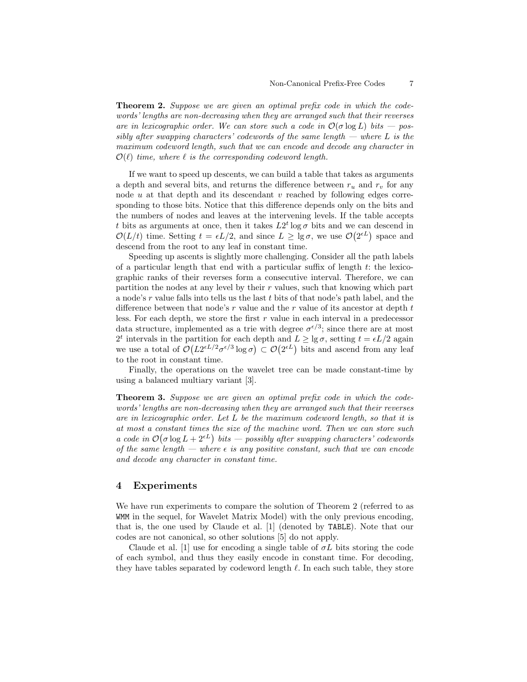**Theorem 2.** Suppose we are given an optimal prefix code in which the codewords' lengths are non-decreasing when they are arranged such that their reverses are in lexicographic order. We can store such a code in  $\mathcal{O}(\sigma \log L)$  bits – possibly after swapping characters' codewords of the same length  $-$  where L is the maximum codeword length, such that we can encode and decode any character in  $\mathcal{O}(\ell)$  time, where  $\ell$  is the corresponding codeword length.

If we want to speed up descents, we can build a table that takes as arguments a depth and several bits, and returns the difference between  $r_u$  and  $r_v$  for any node  $u$  at that depth and its descendant  $v$  reached by following edges corresponding to those bits. Notice that this difference depends only on the bits and the numbers of nodes and leaves at the intervening levels. If the table accepts t bits as arguments at once, then it takes  $L2^t \log \sigma$  bits and we can descend in  $\mathcal{O}(L/t)$  time. Setting  $t = \epsilon L/2$ , and since  $L \geq \lg \sigma$ , we use  $\mathcal{O}(2^{\epsilon L})$  space and descend from the root to any leaf in constant time.

Speeding up ascents is slightly more challenging. Consider all the path labels of a particular length that end with a particular suffix of length  $t$ : the lexicographic ranks of their reverses form a consecutive interval. Therefore, we can partition the nodes at any level by their r values, such that knowing which part a node's  $r$  value falls into tells us the last  $t$  bits of that node's path label, and the difference between that node's  $r$  value and the  $r$  value of its ancestor at depth  $t$ less. For each depth, we store the first  $r$  value in each interval in a predecessor data structure, implemented as a trie with degree  $\sigma^{e/3}$ ; since there are at most 2<sup>t</sup> intervals in the partition for each depth and  $L \ge \lg \sigma$ , setting  $t = \epsilon L/2$  again we use a total of  $\mathcal{O}(L2^{\epsilon L/2}\sigma^{\epsilon/3}\log \sigma) \subset \mathcal{O}(2^{\epsilon L})$  bits and ascend from any leaf to the root in constant time.

Finally, the operations on the wavelet tree can be made constant-time by using a balanced multiary variant [3].

Theorem 3. Suppose we are given an optimal prefix code in which the codewords' lengths are non-decreasing when they are arranged such that their reverses are in lexicographic order. Let L be the maximum codeword length, so that it is at most a constant times the size of the machine word. Then we can store such a code in  $\mathcal{O}(\sigma \log L + 2^{\epsilon L})$  bits — possibly after swapping characters' codewords of the same length  $-$  where  $\epsilon$  is any positive constant, such that we can encode and decode any character in constant time.

#### 4 Experiments

We have run experiments to compare the solution of Theorem 2 (referred to as WMM in the sequel, for Wavelet Matrix Model) with the only previous encoding, that is, the one used by Claude et al. [1] (denoted by TABLE). Note that our codes are not canonical, so other solutions [5] do not apply.

Claude et al. [1] use for encoding a single table of  $\sigma L$  bits storing the code of each symbol, and thus they easily encode in constant time. For decoding, they have tables separated by codeword length  $\ell$ . In each such table, they store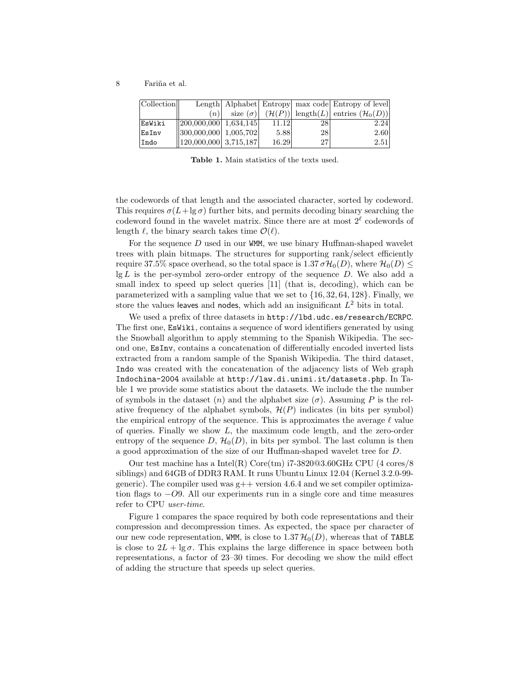| Collection |                              |       |           | Length   Alphabet   Entropy   max code   Entropy of level                    |
|------------|------------------------------|-------|-----------|------------------------------------------------------------------------------|
|            | (n)                          |       |           | size $(\sigma)$ $(\mathcal{H}(P))$ length $(L)$ entries $(\mathcal{H}_0(D))$ |
| EsWiki     | $  200,000,000 $ 1,634,145   | 11.12 | <b>28</b> | 2.24                                                                         |
| EsInv      | $\ 300,000,000\ 1,005,702\ $ | 5.88  | 28        | 2.60                                                                         |
| Indo       | 120,000,000  3,715,187       | 16.29 | 27        | 2.51                                                                         |

Table 1. Main statistics of the texts used.

the codewords of that length and the associated character, sorted by codeword. This requires  $\sigma(L+\lg\sigma)$  further bits, and permits decoding binary searching the codeword found in the wavelet matrix. Since there are at most  $2^{\ell}$  codewords of length  $\ell$ , the binary search takes time  $\mathcal{O}(\ell)$ .

For the sequence  $D$  used in our WMM, we use binary Huffman-shaped wavelet trees with plain bitmaps. The structures for supporting rank/select efficiently require 37.5% space overhead, so the total space is  $1.37 \sigma \mathcal{H}_0(D)$ , where  $\mathcal{H}_0(D) \leq$  $\lg L$  is the per-symbol zero-order entropy of the sequence D. We also add a small index to speed up select queries [11] (that is, decoding), which can be parameterized with a sampling value that we set to  $\{16, 32, 64, 128\}$ . Finally, we store the values leaves and nodes, which add an insignificant  $L^2$  bits in total.

We used a prefix of three datasets in http://lbd.udc.es/research/ECRPC. The first one, EsWiki, contains a sequence of word identifiers generated by using the Snowball algorithm to apply stemming to the Spanish Wikipedia. The second one, EsInv, contains a concatenation of differentially encoded inverted lists extracted from a random sample of the Spanish Wikipedia. The third dataset, Indo was created with the concatenation of the adjacency lists of Web graph Indochina-2004 available at http://law.di.unimi.it/datasets.php. In Table 1 we provide some statistics about the datasets. We include the the number of symbols in the dataset (*n*) and the alphabet size ( $\sigma$ ). Assuming P is the relative frequency of the alphabet symbols,  $\mathcal{H}(P)$  indicates (in bits per symbol) the empirical entropy of the sequence. This is approximates the average  $\ell$  value of queries. Finally we show  $L$ , the maximum code length, and the zero-order entropy of the sequence  $D, H_0(D)$ , in bits per symbol. The last column is then a good approximation of the size of our Huffman-shaped wavelet tree for D.

Our test machine has a Intel(R) Core(tm) i7-3820@3.60GHz CPU (4 cores/8 siblings) and 64GB of DDR3 RAM. It runs Ubuntu Linux 12.04 (Kernel 3.2.0-99 generic). The compiler used was  $g++$  version 4.6.4 and we set compiler optimization flags to −O9. All our experiments run in a single core and time measures refer to CPU user-time.

Figure 1 compares the space required by both code representations and their compression and decompression times. As expected, the space per character of our new code representation, WMM, is close to  $1.37 \mathcal{H}_0(D)$ , whereas that of TABLE is close to  $2L + \lg \sigma$ . This explains the large difference in space between both representations, a factor of 23–30 times. For decoding we show the mild effect of adding the structure that speeds up select queries.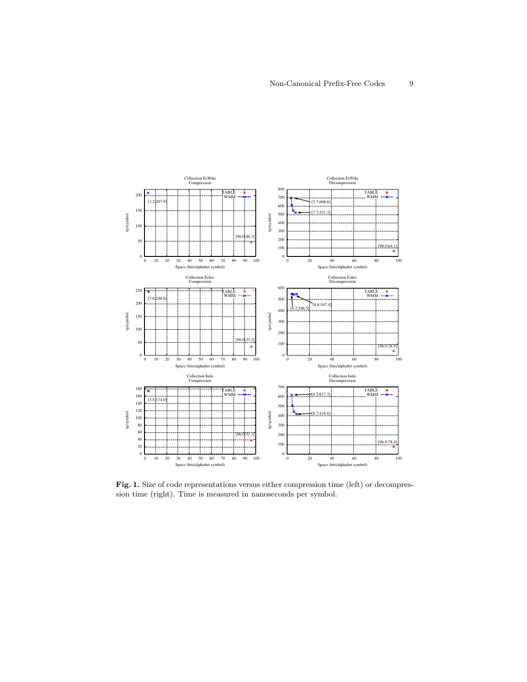

Fig. 1. Size of code representations versus either compression time (left) or decompression time (right). Time is measured in nanoseconds per symbol.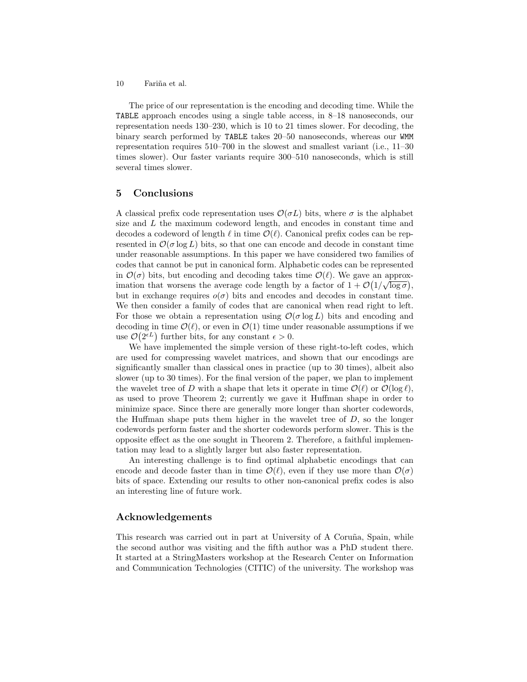The price of our representation is the encoding and decoding time. While the TABLE approach encodes using a single table access, in 8–18 nanoseconds, our representation needs 130–230, which is 10 to 21 times slower. For decoding, the binary search performed by TABLE takes 20–50 nanoseconds, whereas our WMM representation requires 510–700 in the slowest and smallest variant (i.e., 11–30 times slower). Our faster variants require 300–510 nanoseconds, which is still several times slower.

### 5 Conclusions

A classical prefix code representation uses  $\mathcal{O}(\sigma L)$  bits, where  $\sigma$  is the alphabet size and L the maximum codeword length, and encodes in constant time and decodes a codeword of length  $\ell$  in time  $\mathcal{O}(\ell)$ . Canonical prefix codes can be represented in  $\mathcal{O}(\sigma \log L)$  bits, so that one can encode and decode in constant time under reasonable assumptions. In this paper we have considered two families of codes that cannot be put in canonical form. Alphabetic codes can be represented in  $\mathcal{O}(\sigma)$  bits, but encoding and decoding takes time  $\mathcal{O}(\ell)$ . We gave an approximation that worsens the average code length by a factor of  $1 + \mathcal{O}(1/\sqrt{\log \sigma})$ , but in exchange requires  $o(\sigma)$  bits and encodes and decodes in constant time. We then consider a family of codes that are canonical when read right to left. For those we obtain a representation using  $\mathcal{O}(\sigma \log L)$  bits and encoding and decoding in time  $\mathcal{O}(\ell)$ , or even in  $\mathcal{O}(1)$  time under reasonable assumptions if we use  $\mathcal{O}(2^{\epsilon L})$  further bits, for any constant  $\epsilon > 0$ .

We have implemented the simple version of these right-to-left codes, which are used for compressing wavelet matrices, and shown that our encodings are significantly smaller than classical ones in practice (up to 30 times), albeit also slower (up to 30 times). For the final version of the paper, we plan to implement the wavelet tree of D with a shape that lets it operate in time  $\mathcal{O}(\ell)$  or  $\mathcal{O}(\log \ell)$ , as used to prove Theorem 2; currently we gave it Huffman shape in order to minimize space. Since there are generally more longer than shorter codewords, the Huffman shape puts them higher in the wavelet tree of  $D$ , so the longer codewords perform faster and the shorter codewords perform slower. This is the opposite effect as the one sought in Theorem 2. Therefore, a faithful implementation may lead to a slightly larger but also faster representation.

An interesting challenge is to find optimal alphabetic encodings that can encode and decode faster than in time  $\mathcal{O}(\ell)$ , even if they use more than  $\mathcal{O}(\sigma)$ bits of space. Extending our results to other non-canonical prefix codes is also an interesting line of future work.

#### Acknowledgements

This research was carried out in part at University of A Coruña, Spain, while the second author was visiting and the fifth author was a PhD student there. It started at a StringMasters workshop at the Research Center on Information and Communication Technologies (CITIC) of the university. The workshop was